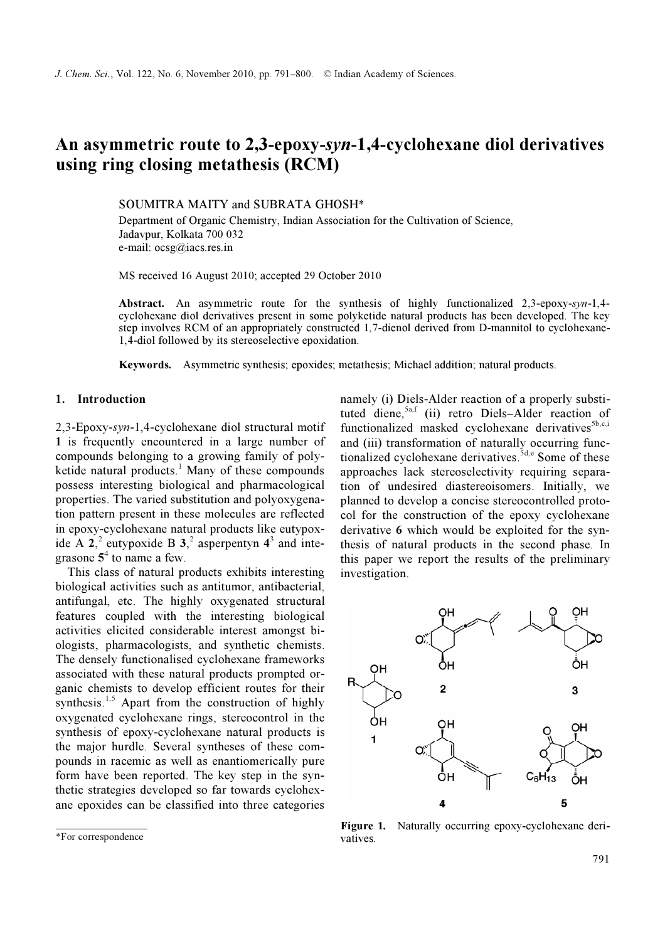# An asymmetric route to 2,3-epoxy-syn-1,4-cyclohexane diol derivatives using ring closing metathesis (RCM)

SOUMITRA MAITY and SUBRATA GHOSH\*

Department of Organic Chemistry, Indian Association for the Cultivation of Science, Jadavpur, Kolkata 700 032 e-mail: ocsg@iacs.res.in

MS received 16 August 2010; accepted 29 October 2010

Abstract. An asymmetric route for the synthesis of highly functionalized 2,3-epoxy-syn-1,4 cyclohexane diol derivatives present in some polyketide natural products has been developed. The key step involves RCM of an appropriately constructed 1,7-dienol derived from D-mannitol to cyclohexane-1,4-diol followed by its stereoselective epoxidation.

Keywords. Asymmetric synthesis; epoxides; metathesis; Michael addition; natural products.

#### 1. Introduction

2,3-Epoxy-syn-1,4-cyclohexane diol structural motif 1 is frequently encountered in a large number of compounds belonging to a growing family of polyketide natural products.<sup>1</sup> Many of these compounds possess interesting biological and pharmacological properties. The varied substitution and polyoxygenation pattern present in these molecules are reflected in epoxy-cyclohexane natural products like eutypoxide A  $2^2$  eutypoxide B  $3^2$  asperpentyn  $4^3$  and integrasone  $5^4$  to name a few.

 This class of natural products exhibits interesting biological activities such as antitumor, antibacterial, antifungal, etc. The highly oxygenated structural features coupled with the interesting biological activities elicited considerable interest amongst biologists, pharmacologists, and synthetic chemists. The densely functionalised cyclohexane frameworks associated with these natural products prompted organic chemists to develop efficient routes for their synthesis.<sup>1,5</sup> Apart from the construction of highly oxygenated cyclohexane rings, stereocontrol in the synthesis of epoxy-cyclohexane natural products is the major hurdle. Several syntheses of these compounds in racemic as well as enantiomerically pure form have been reported. The key step in the synthetic strategies developed so far towards cyclohexane epoxides can be classified into three categories

namely (i) Diels-Alder reaction of a properly substituted diene,<sup>5a,f</sup> (ii) retro Diels–Alder reaction of functionalized masked cyclohexane derivatives ${}^{5b,c,i}$ and (iii) transformation of naturally occurring functionalized cyclohexane derivatives.<sup> $5d,e$ </sup> Some of these approaches lack stereoselectivity requiring separation of undesired diastereoisomers. Initially, we planned to develop a concise stereocontrolled protocol for the construction of the epoxy cyclohexane derivative 6 which would be exploited for the synthesis of natural products in the second phase. In this paper we report the results of the preliminary investigation.



Figure 1. Naturally occurring epoxy-cyclohexane derivatives.

<sup>\*</sup>For correspondence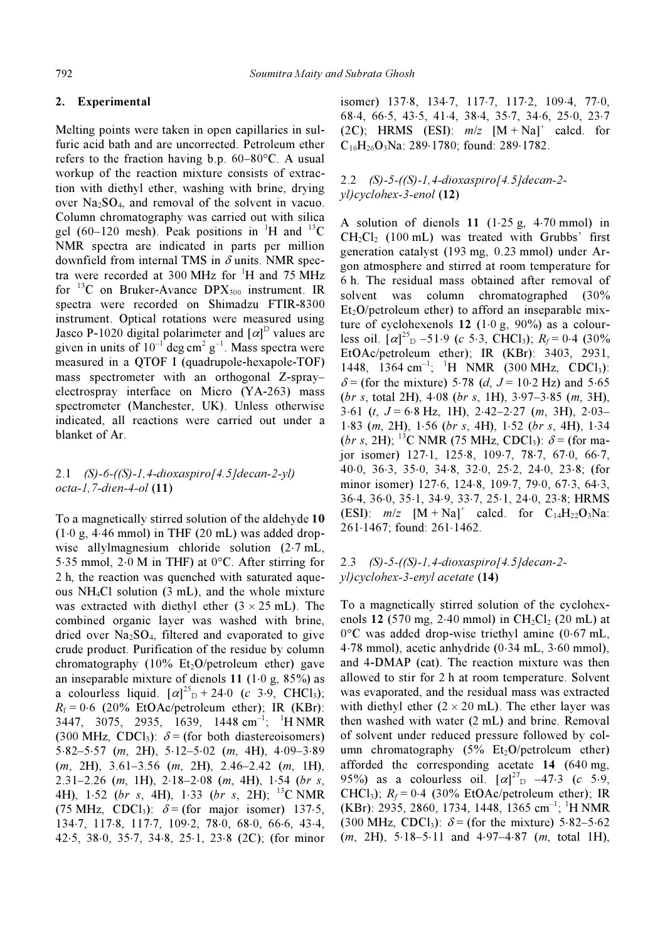## 2. Experimental

Melting points were taken in open capillaries in sulfuric acid bath and are uncorrected. Petroleum ether refers to the fraction having b.p. 60–80°C. A usual workup of the reaction mixture consists of extraction with diethyl ether, washing with brine, drying over  $Na<sub>2</sub>SO<sub>4</sub>$ , and removal of the solvent in vacuo. Column chromatography was carried out with silica gel (60–120 mesh). Peak positions in <sup>1</sup>H and <sup>13</sup>C NMR spectra are indicated in parts per million downfield from internal TMS in  $\delta$  units. NMR spectra were recorded at 300 MHz for <sup>1</sup>H and 75 MHz for <sup>13</sup>C on Bruker-Avance  $DPX_{300}$  instrument. IR spectra were recorded on Shimadzu FTIR-8300 instrument. Optical rotations were measured using Jasco P-1020 digital polarimeter and  $[\alpha]^{D}$  values are given in units of  $10^{-1}$  deg cm<sup>2</sup> g<sup>-1</sup>. Mass spectra were measured in a QTOF I (quadrupole-hexapole-TOF) mass spectrometer with an orthogonal Z-spray– electrospray interface on Micro (YA-263) mass spectrometer (Manchester, UK). Unless otherwise indicated, all reactions were carried out under a blanket of Ar.

# 2.1 (S)-6-((S)-1,4-dioxaspiro[4.5]decan-2-yl) octa-1,7-dien-4-ol (11)

To a magnetically stirred solution of the aldehyde 10  $(1·0 g, 4·46 mmol)$  in THF  $(20 mL)$  was added dropwise allylmagnesium chloride solution (2⋅7 mL, 5⋅35 mmol, 2⋅0 M in THF) at 0°C. After stirring for 2 h, the reaction was quenched with saturated aqueous NH4Cl solution (3 mL), and the whole mixture was extracted with diethyl ether  $(3 \times 25 \text{ mL})$ . The combined organic layer was washed with brine, dried over  $Na<sub>2</sub>SO<sub>4</sub>$ , filtered and evaporated to give crude product. Purification of the residue by column chromatography (10% Et<sub>2</sub>O/petroleum ether) gave an inseparable mixture of dienols 11 (1⋅0 g, 85%) as a colourless liquid.  $[\alpha]^{25}$ <sub>D</sub> + 24⋅0 (c 3⋅9, CHCl<sub>3</sub>);  $R_f = 0.6$  (20% EtOAc/petroleum ether); IR (KBr): 3447, 3075, 2935, 1639, 1448 cm<sup>-1</sup>; <sup>1</sup>H NMR (300 MHz, CDCl<sub>3</sub>):  $\delta$  = (for both diastereoisomers) 5⋅82–5⋅57 (m, 2H), 5⋅12–5⋅02 (m, 4H), 4⋅09–3⋅89 (m, 2H), 3.61–3.56 (m, 2H), 2.46–2.42 (m, 1H),  $2.31-2.26$  (m, 1H),  $2.18-2.08$  (m, 4H),  $1.54$  (br s, 4H), 1⋅52 (br s, 4H), 1⋅33 (br s, 2H); <sup>13</sup>C NMR (75 MHz, CDCl<sub>3</sub>):  $\delta$  = (for major isomer) 137⋅5, 134⋅7, 117⋅8, 117⋅7, 109⋅2, 78⋅0, 68⋅0, 66⋅6, 43⋅4, 42⋅5, 38⋅0, 35⋅7, 34⋅8, 25⋅1, 23⋅8 (2C); (for minor

isomer) 137⋅8, 134⋅7, 117⋅7, 117⋅2, 109⋅4, 77⋅0, 68⋅4, 66⋅5, 43⋅5, 41⋅4, 38⋅4, 35⋅7, 34⋅6, 25⋅0, 23⋅7 (2C); HRMS (ESI):  $m/z$   $[M + Na]$ <sup>+</sup> calcd. for  $C_{16}H_{26}O_3Na$ : 289⋅1780; found: 289⋅1782.

# 2.2 (S)-5-((S)-1,4-dioxaspiro[4.5]decan-2 yl)cyclohex-3-enol (12)

A solution of dienols 11 (1⋅25 g, 4⋅70 mmol) in  $CH_2Cl_2$  (100 mL) was treated with Grubbs' first generation catalyst (193 mg, 0.23 mmol) under Argon atmosphere and stirred at room temperature for 6 h. The residual mass obtained after removal of solvent was column chromatographed (30%  $Et<sub>2</sub>O/petroleum$  ether) to afford an inseparable mixture of cyclohexenols 12  $(1·0 g, 90%)$  as a colourless oil.  $[\alpha]^{25}$ <sub>D</sub> –51⋅9 (c 5⋅3, CHCl<sub>3</sub>);  $R_f$ = 0⋅4 (30%) EtOAc/petroleum ether); IR (KBr): 3403, 2931, 1448, 1364 cm<sup>-1</sup>; <sup>1</sup>H NMR (300 MHz, CDCl<sub>3</sub>):  $\delta$  = (for the mixture) 5⋅78 (d, J = 10⋅2 Hz) and 5⋅65  $(br s, total 2H), 4·08 (br s, 1H), 3·97–3·85 (m, 3H),$  $3.61$  (t,  $J = 6.8$  Hz, 1H),  $2.42 - 2.27$  (m, 3H),  $2.03 -$ 1⋅83 (m, 2H), 1⋅56 (br s, 4H), 1⋅52 (br s, 4H), 1⋅34 (br s, 2H); <sup>13</sup>C NMR (75 MHz, CDCl<sub>3</sub>):  $\delta$  = (for major isomer) 127⋅1, 125⋅8, 109⋅7, 78⋅7, 67⋅0, 66⋅7, 40⋅0, 36⋅3, 35⋅0, 34⋅8, 32⋅0, 25⋅2, 24⋅0, 23⋅8; (for minor isomer) 127⋅6, 124⋅8, 109⋅7, 79⋅0, 67⋅3, 64⋅3, 36⋅4, 36⋅0, 35⋅1, 34⋅9, 33⋅7, 25⋅1, 24⋅0, 23⋅8; HRMS (ESI):  $m/z$  [M + Na]<sup>+</sup> calcd. for C<sub>14</sub>H<sub>22</sub>O<sub>3</sub>Na: 261⋅1467; found: 261⋅1462.

## 2.3 (S)-5-((S)-1,4-dioxaspiro[4.5]decan-2 yl)cyclohex-3-enyl acetate (14)

To a magnetically stirred solution of the cyclohexenols 12 (570 mg, 2⋅40 mmol) in  $CH_2Cl_2$  (20 mL) at 0°C was added drop-wise triethyl amine (0⋅67 mL, 4⋅78 mmol), acetic anhydride (0⋅34 mL, 3⋅60 mmol), and 4-DMAP (cat). The reaction mixture was then allowed to stir for 2 h at room temperature. Solvent was evaporated, and the residual mass was extracted with diethyl ether  $(2 \times 20 \text{ mL})$ . The ether layer was then washed with water (2 mL) and brine. Removal of solvent under reduced pressure followed by column chromatography  $(5\%$  Et<sub>2</sub>O/petroleum ether) afforded the corresponding acetate 14 (640 mg, 95%) as a colourless oil.  $[\alpha]^{27}$  –47.3 (c 5.9, CHCl<sub>3</sub>);  $R_f = 0.4$  (30% EtOAc/petroleum ether); IR  $(KBr)$ : 2935, 2860, 1734, 1448, 1365 cm<sup>-1</sup>; <sup>1</sup>H NMR (300 MHz, CDCl<sub>3</sub>):  $\delta$  = (for the mixture) 5⋅82–5⋅62 (m, 2H), 5⋅18–5⋅11 and 4⋅97–4⋅87 (m, total 1H),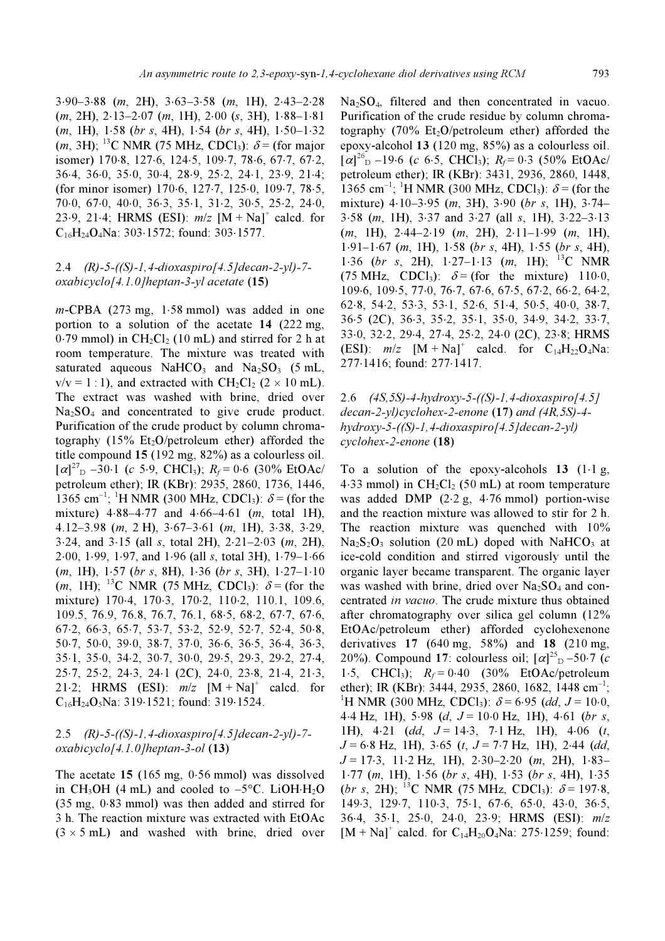3⋅90–3⋅88 (m, 2H), 3⋅63–3⋅58 (m, 1H), 2⋅43–2⋅28  $(m, 2H), 2·13–2·07$   $(m, 1H), 2·00$   $(s, 3H), 1·88–1·81$  $(m, 1H), 1.58$  (br s, 4H), 1⋅54 (br s, 4H), 1⋅50–1⋅32  $(m, 3H)$ ; <sup>13</sup>C NMR (75 MHz, CDCl<sub>3</sub>):  $\delta$  = (for major isomer) 170⋅8, 127⋅6, 124⋅5, 109⋅7, 78⋅6, 67⋅7, 67⋅2, 36⋅4, 36⋅0, 35⋅0, 30⋅4, 28⋅9, 25⋅2, 24⋅1, 23⋅9, 21⋅4; (for minor isomer) 170⋅6, 127⋅7, 125⋅0, 109⋅7, 78⋅5, 70⋅0, 67⋅0, 40⋅0, 36⋅3, 35⋅1, 31⋅2, 30⋅5, 25⋅2, 24⋅0, 23⋅9, 21⋅4; HRMS (ESI):  $m/z$  [M + Na]<sup>+</sup> calcd. for C16H24O4Na: 303⋅1572; found: 303⋅1577.

## 2.4 (R)-5-((S)-1,4-dioxaspiro[4.5]decan-2-yl)-7 oxabicyclo[4.1.0]heptan-3-yl acetate (15)

m-CPBA (273 mg, 1⋅58 mmol) was added in one portion to a solution of the acetate 14 (222 mg,  $0.79$  mmol) in CH<sub>2</sub>Cl<sub>2</sub> (10 mL) and stirred for 2 h at room temperature. The mixture was treated with saturated aqueous NaHCO<sub>3</sub> and Na<sub>2</sub>SO<sub>3</sub> (5 mL,  $v/v = 1:1$ ), and extracted with  $CH_2Cl_2$  (2 × 10 mL). The extract was washed with brine, dried over Na<sub>2</sub>SO<sub>4</sub> and concentrated to give crude product. Purification of the crude product by column chromatography (15% Et<sub>2</sub>O/petroleum ether) afforded the title compound 15 (192 mg, 82%) as a colourless oil.  $[\alpha]^{27}$ <sub>D</sub> –30⋅1 (c 5⋅9, CHCl<sub>3</sub>);  $R_f$  = 0⋅6 (30% EtOAc/ petroleum ether); IR (KBr): 2935, 2860, 1736, 1446, 1365 cm<sup>-1</sup>; <sup>1</sup>H NMR (300 MHz, CDCl<sub>3</sub>):  $\delta$  = (for the mixture) 4⋅88–4⋅77 and 4⋅66–4⋅61 (m, total 1H), 4.12–3.98 (m, 2 H), 3⋅67–3⋅61 (m, 1H), 3⋅38, 3⋅29, 3⋅24, and 3⋅15 (all s, total 2H), 2⋅21–2⋅03 (m, 2H), 2⋅00, 1⋅99, 1⋅97, and 1⋅96 (all s, total 3H), 1⋅79–1⋅66 (m, 1H), 1⋅57 (br s, 8H), 1⋅36 (br s, 3H), 1⋅27–1⋅10  $(m, 1H)$ ; <sup>13</sup>C NMR (75 MHz, CDCl<sub>3</sub>):  $\delta$  = (for the mixture) 170⋅4, 170⋅3, 170⋅2, 110⋅2, 110.1, 109.6, 109.5, 76.9, 76.8, 76.7, 76.1, 68⋅5, 68⋅2, 67⋅7, 67⋅6, 67⋅2, 66⋅3, 65⋅7, 53⋅7, 53⋅2, 52⋅9, 52⋅7, 52⋅4, 50⋅8, 50⋅7, 50⋅0, 39⋅0, 38⋅7, 37⋅0, 36⋅6, 36⋅5, 36⋅4, 36⋅3, 35⋅1, 35⋅0, 34⋅2, 30⋅7, 30⋅0, 29⋅5, 29⋅3, 29⋅2, 27⋅4, 25⋅7, 25⋅2, 24⋅3, 24⋅1 (2C), 24⋅0, 23⋅8, 21⋅4, 21⋅3, 21⋅2; HRMS (ESI):  $m/z$  [M + Na]<sup>+</sup> calcd. for  $C_{16}H_{24}O_5$ Na: 319⋅1521; found: 319⋅1524.

## 2.5 (R)-5-((S)-1,4-dioxaspiro[4.5]decan-2-yl)-7 oxabicyclo[4.1.0]heptan-3-ol (13)

The acetate 15 (165 mg, 0⋅56 mmol) was dissolved in CH<sub>3</sub>OH (4 mL) and cooled to  $-5^{\circ}$ C. LiOH⋅H<sub>2</sub>O (35 mg, 0⋅83 mmol) was then added and stirred for 3 h. The reaction mixture was extracted with EtOAc  $(3 \times 5 \text{ mL})$  and washed with brine, dried over  $Na<sub>2</sub>SO<sub>4</sub>$ , filtered and then concentrated in vacuo. Purification of the crude residue by column chromatography  $(70\% \text{ Et}_2\text{O}/\text{petroleum}$  ether) afforded the epoxy-alcohol 13 (120 mg, 85%) as a colourless oil.  $[\alpha]_{\text{D}}^{26}$  –19⋅6 (c 6⋅5, CHCl<sub>3</sub>); R<sub>f</sub> = 0⋅3 (50% EtOAc/ petroleum ether); IR (KBr): 3431, 2936, 2860, 1448, 1365 cm<sup>-1</sup>; <sup>1</sup>H NMR (300 MHz, CDCl<sub>3</sub>):  $\delta$  = (for the mixture) 4⋅10–3⋅95 (m, 3H), 3⋅90 (br s, 1H), 3⋅74– 3⋅58 (m, 1H), 3⋅37 and 3⋅27 (all s, 1H), 3⋅22–3⋅13  $(m, 1H), 2.44-2.19$   $(m, 2H), 2.11-1.99$   $(m, 1H),$ 1⋅91–1⋅67 (m, 1H), 1⋅58 (br s, 4H), 1⋅55 (br s, 4H), 1⋅36 (br s, 2H), 1⋅27–1⋅13 (m, 1H); <sup>13</sup>C NMR (75 MHz, CDCl<sub>3</sub>):  $\delta$  = (for the mixture) 110⋅0, 109⋅6, 109⋅5, 77⋅0, 76⋅7, 67⋅6, 67⋅5, 67⋅2, 66⋅2, 64⋅2, 62⋅8, 54⋅2, 53⋅3, 53⋅1, 52⋅6, 51⋅4, 50⋅5, 40⋅0, 38⋅7, 36⋅5 (2C), 36⋅3, 35⋅2, 35⋅1, 35⋅0, 34⋅9, 34⋅2, 33⋅7, 33⋅0, 32⋅2, 29⋅4, 27⋅4, 25⋅2, 24⋅0 (2C), 23⋅8; HRMS (ESI):  $m/z$  [M + Na]<sup>+</sup> calcd. for C<sub>14</sub>H<sub>22</sub>O<sub>4</sub>Na: 277⋅1416; found: 277⋅1417.

2.6 (4S,5S)-4-hydroxy-5-((S)-1,4-dioxaspiro[4.5] decan-2-yl)cyclohex-2-enone (17) and (4R,5S)-4  $h$ ydroxy-5-((S)-1,4-dioxaspiro[4.5]decan-2-yl) cyclohex-2-enone (18)

To a solution of the epoxy-alcohols 13  $(1·1 g, ...)$ 4⋅33 mmol) in  $CH_2Cl_2$  (50 mL) at room temperature was added DMP (2⋅2 g, 4⋅76 mmol) portion-wise and the reaction mixture was allowed to stir for 2 h. The reaction mixture was quenched with 10%  $Na<sub>2</sub>S<sub>2</sub>O<sub>3</sub>$  solution (20 mL) doped with NaHCO<sub>3</sub> at ice-cold condition and stirred vigorously until the organic layer became transparent. The organic layer was washed with brine, dried over  $Na<sub>2</sub>SO<sub>4</sub>$  and concentrated in vacuo. The crude mixture thus obtained after chromatography over silica gel column (12% EtOAc/petroleum ether) afforded cyclohexenone derivatives  $17$  (640 mg, 58%) and 18 (210 mg, 20%). Compound 17: colourless oil;  $[\alpha]_{D}^{25}$  –50.7 (c) 1⋅5, CHCl<sub>3</sub>);  $R_f = 0.40$  (30% EtOAc/petroleum ether); IR (KBr): 3444, 2935, 2860, 1682, 1448 cm<sup>-1</sup>; <sup>1</sup>H NMR (300 MHz, CDCl<sub>3</sub>):  $\delta$  = 6.95 (dd, J = 10.0,  $4.4$  Hz, 1H),  $5.98$  (d,  $J = 10.0$  Hz, 1H),  $4.61$  (br s, 1H), 4⋅21 (dd,  $J = 14.3$ , 7⋅1 Hz, 1H), 4⋅06 (t,  $J = 6.8$  Hz, 1H), 3.65 (t,  $J = 7.7$  Hz, 1H), 2.44 (dd,  $J = 17.3$ , 11⋅2 Hz, 1H), 2⋅30–2⋅20 (m, 2H), 1⋅83– 1⋅77 (m, 1H), 1⋅56 (br s, 4H), 1⋅53 (br s, 4H), 1⋅35 (br s, 2H); <sup>13</sup>C NMR (75 MHz, CDCl<sub>3</sub>):  $\delta$  = 197⋅8, 149⋅3, 129⋅7, 110⋅3, 75⋅1, 67⋅6, 65⋅0, 43⋅0, 36⋅5, 36⋅4, 35⋅1, 25⋅0, 24⋅0, 23⋅9; HRMS (ESI): m/z  $[M + Na]$ <sup>+</sup> calcd. for C<sub>14</sub>H<sub>20</sub>O<sub>4</sub>Na: 275⋅1259; found: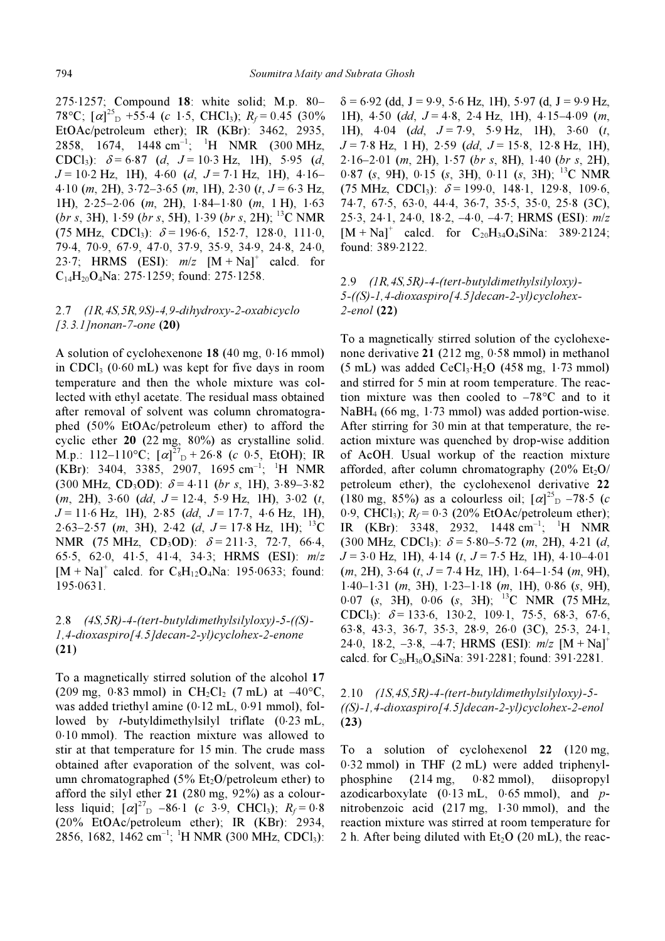275⋅1257; Compound 18: white solid; M.p. 80– 78°C;  $[\alpha]^{25}$ <sub>D</sub> +55⋅4 (c 1⋅5, CHCl<sub>3</sub>);  $R_f$  = 0.45 (30%) EtOAc/petroleum ether); IR (KBr): 3462, 2935, 2858, 1674, 1448 cm<sup>-1</sup>; <sup>1</sup>H NMR (300 MHz, CDCl<sub>3</sub>):  $\delta = 6.87$  (d,  $J = 10.3$  Hz, 1H), 5.95 (d,  $J = 10.2$  Hz, 1H), 4⋅60 (d,  $J = 7.1$  Hz, 1H), 4⋅16– 4⋅10 (*m*, 2H), 3⋅72−3⋅65 (*m*, 1H), 2⋅30 (*t*,  $J = 6·3$  Hz, 1H), 2⋅25–2⋅06 (m, 2H), 1⋅84–1⋅80 (m, 1 H), 1⋅63  $(br s, 3H)$ , 1⋅59  $(br s, 5H)$ , 1⋅39  $(br s, 2H)$ ; <sup>13</sup>C NMR  $(75 \text{ MHz}, \text{ CDCl}_3): \delta = 196.6, 152.7, 128.0, 111.0,$ 79⋅4, 70⋅9, 67⋅9, 47⋅0, 37⋅9, 35⋅9, 34⋅9, 24⋅8, 24⋅0, 23⋅7; HRMS (ESI):  $m/z$  [M + Na]<sup>+</sup> calcd. for C14H20O4Na: 275⋅1259; found: 275⋅1258.

# 2.7 (1R,4S,5R,9S)-4,9-dihydroxy-2-oxabicyclo  $[3.3.1]$ nonan-7-one (20)

A solution of cyclohexenone 18 (40 mg, 0⋅16 mmol) in CDCl<sub>3</sub> (0⋅60 mL) was kept for five days in room temperature and then the whole mixture was collected with ethyl acetate. The residual mass obtained after removal of solvent was column chromatographed (50% EtOAc/petroleum ether) to afford the cyclic ether 20 (22 mg, 80%) as crystalline solid. M.p.: 112–110°C;  $[\alpha]^{27}$ <sub>D</sub> + 26⋅8 (c 0⋅5, EtOH); IR  $(KBr)$ : 3404, 3385, 2907, 1695 cm<sup>-1</sup>; <sup>1</sup>H NMR  $(300 \text{ MHz}, \text{CD}_3\text{OD})$ :  $\delta = 4.11$  (br s, 1H), 3⋅89–3⋅82  $(m, 2H)$ , 3⋅60 (dd, J = 12⋅4, 5⋅9 Hz, 1H), 3⋅02 (t,  $J = 11.6$  Hz, 1H), 2⋅85 (dd,  $J = 17.7$ , 4⋅6 Hz, 1H), 2⋅63–2⋅57 (m, 3H), 2⋅42 (d, J = 17⋅8 Hz, 1H); <sup>13</sup>C NMR (75 MHz, CD<sub>3</sub>OD):  $\delta = 211.3, 72.7, 66.4,$ 65⋅5, 62⋅0, 41⋅5, 41⋅4, 34⋅3; HRMS (ESI): m/z  $[M + Na]$ <sup>+</sup> calcd. for  $C_8H_{12}O_4Na$ : 195⋅0633; found: 195⋅0631.

# 2.8 (4S,5R)-4-(tert-butyldimethylsilyloxy)-5-((S)- 1,4-dioxaspiro[4.5]decan-2-yl)cyclohex-2-enone (21)

To a magnetically stirred solution of the alcohol 17 (209 mg, 0⋅83 mmol) in CH<sub>2</sub>Cl<sub>2</sub> (7 mL) at  $-40$ °C, was added triethyl amine (0⋅12 mL, 0⋅91 mmol), followed by t-butyldimethylsilyl triflate (0⋅23 mL, 0⋅10 mmol). The reaction mixture was allowed to stir at that temperature for 15 min. The crude mass obtained after evaporation of the solvent, was column chromatographed  $(5\%$  Et<sub>2</sub>O/petroleum ether) to afford the silyl ether 21 (280 mg, 92%) as a colourless liquid;  $[\alpha]^{27}$ <sub>D</sub> -86⋅1 (c 3⋅9, CHCl<sub>3</sub>);  $R_f = 0.8$ (20% EtOAc/petroleum ether); IR (KBr): 2934,  $2856, 1682, 1462$  cm<sup>-1</sup>; <sup>1</sup>H NMR (300 MHz, CDCl<sub>3</sub>):

 $\delta$  = 6⋅92 (dd, J = 9⋅9, 5⋅6 Hz, 1H), 5⋅97 (d, J = 9⋅9 Hz, 1H),  $4.50$  (dd,  $J = 4.8$ ,  $2.4$  Hz, 1H),  $4.15-4.09$  (m, 1H),  $4.04$  (dd,  $J = 7.9$ ,  $5.9$  Hz, 1H),  $3.60$  (t,  $J = 7.8$  Hz, 1 H), 2.59 (dd,  $J = 15.8$ , 12.8 Hz, 1H),  $2·16–2·01$  (m, 2H),  $1·57$  (br s, 8H),  $1·40$  (br s, 2H),  $0.87$  (s, 9H),  $0.15$  (s, 3H),  $0.11$  (s, 3H); <sup>13</sup>C NMR  $(75 \text{ MHz}, \text{ CDCl}_3): \delta = 199.0, 148.1, 129.8, 109.6,$ 74⋅7, 67⋅5, 63⋅0, 44⋅4, 36⋅7, 35⋅5, 35⋅0, 25⋅8 (3C), 25⋅3, 24⋅1, 24⋅0, 18⋅2, –4⋅0, –4⋅7; HRMS (ESI): m/z  $[M + Na]$ <sup>+</sup> calcd. for C<sub>20</sub>H<sub>34</sub>O<sub>4</sub>SiNa: 389.2124; found: 389⋅2122.

# 2.9 (1R,4S,5R)-4-(tert-butyldimethylsilyloxy)- 5-((S)-1,4-dioxaspiro[4.5]decan-2-yl)cyclohex-2-enol (22)

To a magnetically stirred solution of the cyclohexenone derivative 21 (212 mg, 0⋅58 mmol) in methanol  $(5 \text{ mL})$  was added CeCl<sub>3</sub>⋅H<sub>2</sub>O (458 mg, 1⋅73 mmol) and stirred for 5 min at room temperature. The reaction mixture was then cooled to  $-78^{\circ}$ C and to it NaBH4 (66 mg, 1⋅73 mmol) was added portion-wise. After stirring for 30 min at that temperature, the reaction mixture was quenched by drop-wise addition of AcOH. Usual workup of the reaction mixture afforded, after column chromatography  $(20\% \text{ Et}_2\text{O}/\text{C}))$ petroleum ether), the cyclohexenol derivative 22 (180 mg, 85%) as a colourless oil;  $[\alpha]_{\text{D}}^{25}$  –78⋅5 (c 0⋅9, CHCl<sub>3</sub>);  $R_f$  = 0⋅3 (20% EtOAc/petroleum ether); IR (KBr): 3348, 2932, 1448 cm<sup>-1</sup>; <sup>1</sup>H NMR  $(300 \text{ MHz}, \text{CDC1}_3)$ :  $\delta = 5.80 - 5.72$  (m, 2H), 4.21 (d,  $J = 3.0$  Hz, 1H), 4⋅14 (t,  $J = 7.5$  Hz, 1H), 4⋅10–4⋅01  $(m, 2H)$ , 3⋅64  $(t, J = 7.4 \text{ Hz}$ , 1H), 1⋅64–1⋅54  $(m, 9H)$ ,  $1.40-1.31$  (m, 3H),  $1.23-1.18$  (m, 1H),  $0.86$  (s, 9H), 0⋅07 (s, 3H), 0⋅06 (s, 3H); <sup>13</sup>C NMR (75 MHz, CDCl<sub>3</sub>):  $\delta$  = 133⋅6, 130⋅2, 109⋅1, 75⋅5, 68⋅3, 67⋅6, 63⋅8, 43⋅3, 36⋅7, 35⋅3, 28⋅9, 26⋅0 (3C), 25⋅3, 24⋅1, 24⋅0, 18⋅2, -3⋅8, -4⋅7; HRMS (ESI):  $m/z$  [M + Na]<sup>+</sup> calcd. for  $C_{20}H_{36}O_4\sinh 391.2281$ ; found: 391⋅2281.

# $2.10$   $(1S, 4S, 5R)$ -4-(tert-butyldimethylsilyloxy)-5-((S)-1,4-dioxaspiro[4.5]decan-2-yl)cyclohex-2-enol (23)

To a solution of cyclohexenol 22 (120 mg, 0⋅32 mmol) in THF (2 mL) were added triphenylphosphine (214 mg, 0⋅82 mmol), diisopropyl azodicarboxylate  $(0.13 \text{ mL}, 0.65 \text{ mm})$ , and pnitrobenzoic acid (217 mg, 1⋅30 mmol), and the reaction mixture was stirred at room temperature for 2 h. After being diluted with  $Et<sub>2</sub>O$  (20 mL), the reac-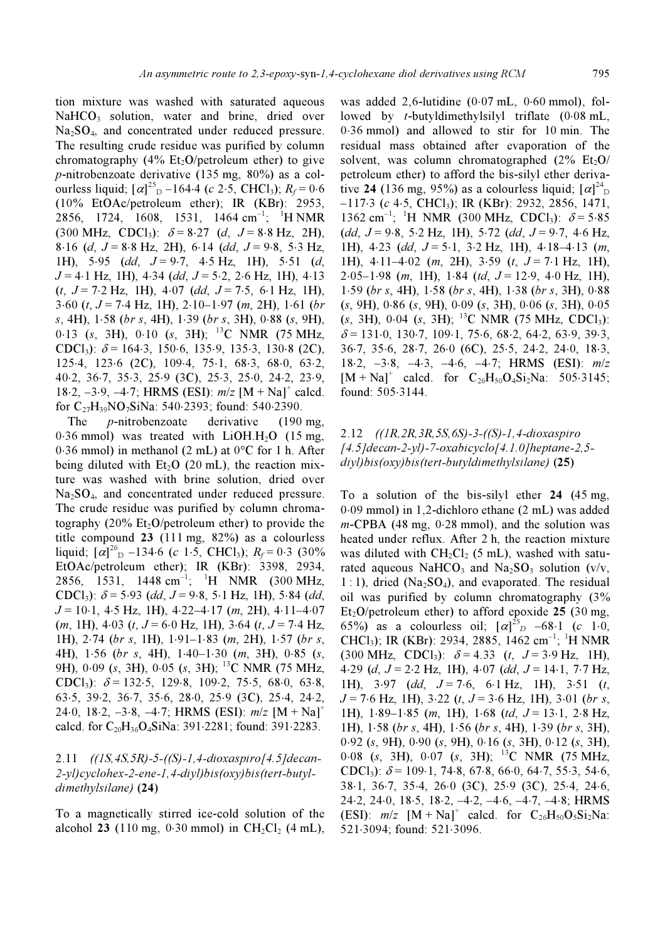tion mixture was washed with saturated aqueous NaHCO<sub>3</sub> solution, water and brine, dried over  $Na<sub>2</sub>SO<sub>4</sub>$ , and concentrated under reduced pressure. The resulting crude residue was purified by column chromatography (4% Et<sub>2</sub>O/petroleum ether) to give p-nitrobenzoate derivative (135 mg, 80%) as a colourless liquid;  $[\alpha]^{25}$ <sub>D</sub> –164⋅4 (c 2⋅5, CHCl<sub>3</sub>);  $R_f$  = 0⋅6 (10% EtOAc/petroleum ether); IR (KBr): 2953, 2856, 1724, 1608, 1531, 1464 cm<sup>-1</sup>; <sup>1</sup>H NMR  $(300 \text{ MHz}, \text{ CDCl}_3): \delta = 8.27 \text{ (d, } J = 8.8 \text{ Hz, } 2\text{H}),$ 8⋅16 (d, J = 8⋅8 Hz, 2H), 6⋅14 (dd, J = 9⋅8, 5⋅3 Hz, 1H), 5⋅95 (dd,  $J = 9.7$ , 4⋅5 Hz, 1H), 5⋅51 (d,  $J = 4.1$  Hz, 1H),  $4.34$  (dd,  $J = 5.2$ , 2.6 Hz, 1H),  $4.13$  $(t, J = 7.2 \text{ Hz}, 1\text{H})$ , 4.07 (dd,  $J = 7.5$ , 6.1 Hz, 1H),  $3.60$  (t,  $J = 7.4$  Hz, 1H),  $2.10-1.97$  (m, 2H),  $1.61$  (br s, 4H), 1⋅58 (br s, 4H), 1⋅39 (br s, 3H), 0⋅88 (s, 9H), 0⋅13 (s, 3H), 0⋅10 (s, 3H); <sup>13</sup>C NMR (75 MHz, CDCl<sub>3</sub>):  $\delta$  = 164⋅3, 150⋅6, 135⋅9, 135⋅3, 130⋅8 (2C), 125⋅4, 123⋅6 (2C), 109⋅4, 75⋅1, 68⋅3, 68⋅0, 63⋅2, 40⋅2, 36⋅7, 35⋅3, 25⋅9 (3C), 25⋅3, 25⋅0, 24⋅2, 23⋅9, 18⋅2, -3⋅9, -4⋅7; HRMS (ESI):  $m/z$  [M + Na]<sup>+</sup> calcd. for  $C_{27}H_{39}NO_7SiNa$ : 540⋅2393; found: 540⋅2390.

The *p*-nitrobenzoate derivative (190 mg, 0.36 mmol) was treated with LiOH.H<sub>2</sub>O (15 mg, 0⋅36 mmol) in methanol (2 mL) at 0°C for 1 h. After being diluted with  $Et<sub>2</sub>O$  (20 mL), the reaction mixture was washed with brine solution, dried over Na2SO4, and concentrated under reduced pressure. The crude residue was purified by column chromatography (20%  $Et_2O/petrolcum$  ether) to provide the title compound 23 (111 mg, 82%) as a colourless liquid;  $\left[\alpha\right]_{\text{D}}^{26}$  –134⋅6 (c 1⋅5, CHCl<sub>3</sub>);  $R_f$  = 0⋅3 (30%) EtOAc/petroleum ether); IR (KBr): 3398, 2934, 2856, 1531, 1448 cm<sup>-1</sup>; <sup>1</sup>H NMR (300 MHz, CDCl<sub>3</sub>):  $\delta$  = 5⋅93 (dd, J = 9⋅8, 5⋅1 Hz, 1H), 5⋅84 (dd,  $J = 10 \cdot 1$ , 4⋅5 Hz, 1H), 4⋅22–4⋅17 (m, 2H), 4⋅11–4⋅07  $(m, 1H)$ , 4⋅03  $(t, J = 6.0$  Hz, 1H), 3⋅64  $(t, J = 7.4$  Hz, 1H), 2⋅74 (br s, 1H), 1⋅91–1⋅83 (m, 2H), 1⋅57 (br s, 4H), 1⋅56 (br s, 4H), 1⋅40–1⋅30 (m, 3H), 0⋅85 (s, 9H),  $0.09$  (s, 3H),  $0.05$  (s, 3H); <sup>13</sup>C NMR (75 MHz, CDCl<sub>3</sub>):  $\delta$  = 132⋅5, 129⋅8, 109⋅2, 75⋅5, 68⋅0, 63⋅8, 63⋅5, 39⋅2, 36⋅7, 35⋅6, 28⋅0, 25⋅9 (3C), 25⋅4, 24⋅2, 24⋅0, 18⋅2, –3⋅8, –4⋅7; HRMS (ESI): m/z [M + Na]<sup>+</sup> calcd. for  $C_{20}H_{36}O_4SiNa$ : 391⋅2281; found: 391⋅2283.

## 2.11 ((1S,4S,5R)-5-((S)-1,4-dioxaspiro[4.5]decan-2-yl)cyclohex-2-ene-1,4-diyl)bis(oxy)bis(tert-butyldimethylsilane) (24)

To a magnetically stirred ice-cold solution of the alcohol 23 (110 mg, 0⋅30 mmol) in  $CH_2Cl_2$  (4 mL), was added 2,6-lutidine (0⋅07 mL, 0⋅60 mmol), followed by t-butyldimethylsilyl triflate (0⋅08 mL, 0⋅36 mmol) and allowed to stir for 10 min. The residual mass obtained after evaporation of the solvent, was column chromatographed  $(2\% \text{ Et}_2\text{O}/\text{C})$ petroleum ether) to afford the bis-silyl ether derivative 24 (136 mg, 95%) as a colourless liquid;  $[\alpha]_{\text{D}}^{24}$  $-117.3$  (c 4⋅5, CHCl<sub>3</sub>); IR (KBr): 2932, 2856, 1471, 1362 cm<sup>-1</sup>; <sup>1</sup>H NMR (300 MHz, CDCl<sub>3</sub>):  $\delta$  = 5⋅85  $(dd, J=9.8, 5.2 \text{ Hz}, 1\text{H}), 5.72 (dd, J=9.7, 4.6 \text{ Hz},$ 1H),  $4.23$  (dd,  $J = 5.1$ ,  $3.2$  Hz, 1H),  $4.18-4.13$  (m, 1H),  $4 \cdot 11 - 4 \cdot 02$  (m, 2H),  $3 \cdot 59$  (t,  $J = 7 \cdot 1$  Hz, 1H),  $2·05-1·98$  (m, 1H), 1⋅84 (td,  $J = 12·9$ , 4⋅0 Hz, 1H), 1⋅59 (br s, 4H), 1⋅58 (br s, 4H), 1⋅38 (br s, 3H), 0⋅88 (s, 9H), 0⋅86 (s, 9H), 0⋅09 (s, 3H), 0⋅06 (s, 3H), 0⋅05  $(s, 3H)$ , 0⋅04  $(s, 3H)$ ; <sup>13</sup>C NMR (75 MHz, CDCl<sub>3</sub>):  $\delta$  = 131⋅0, 130⋅7, 109⋅1, 75⋅6, 68⋅2, 64⋅2, 63⋅9, 39⋅3, 36⋅7, 35⋅6, 28⋅7, 26⋅0 (6C), 25⋅5, 24⋅2, 24⋅0, 18⋅3, 18⋅2, –3⋅8, –4⋅3, –4⋅6, –4⋅7; HRMS (ESI): m/z  $[M + Na]$ <sup>+</sup> calcd. for  $C_{26}H_{50}O_4Si_2Na$ : 505⋅3145; found: 505⋅3144.

# 2.12 ((1R,2R,3R,5S,6S)-3-((S)-1,4-dioxaspiro  $[4.5]$ decan-2-yl)-7-oxabicyclo $[4.1.0]$ heptane-2,5diyl)bis(oxy)bis(tert-butyldimethylsilane) (25)

To a solution of the bis-silyl ether 24 (45 mg, 0⋅09 mmol) in 1,2-dichloro ethane (2 mL) was added m-CPBA (48 mg, 0⋅28 mmol), and the solution was heated under reflux. After 2 h, the reaction mixture was diluted with  $CH_2Cl_2$  (5 mL), washed with saturated aqueous NaHCO<sub>3</sub> and Na<sub>2</sub>SO<sub>3</sub> solution (v/v,  $1:1$ , dried (Na<sub>2</sub>SO<sub>4</sub>), and evaporated. The residual oil was purified by column chromatography (3%  $Et<sub>2</sub>O/petroleum ether)$  to afford epoxide 25 (30 mg, 65%) as a colourless oil;  $[\alpha]^{25}$ <sub>D</sub> -68⋅1 (c 1⋅0, CHCl<sub>3</sub>); IR (KBr): 2934, 2885, 1462 cm<sup>-1</sup>; <sup>1</sup>H NMR  $(300 \text{ MHz}, \text{ CDC1}_3)$ :  $\delta = 4.33$  (t,  $J = 3.9 \text{ Hz}, 1 \text{ H}$ ), 4⋅29 (d,  $J = 2.2$  Hz, 1H), 4⋅07 (dd,  $J = 14.1$ , 7⋅7 Hz, 1H),  $3.97$  (dd,  $J = 7.6$ ,  $6.1$  Hz, 1H),  $3.51$  (t,  $J = 7.6$  Hz, 1H), 3⋅22 (t,  $J = 3.6$  Hz, 1H), 3⋅01 (br s, 1H), 1⋅89–1⋅85 (m, 1H), 1⋅68 (td, J = 13⋅1, 2⋅8 Hz, 1H), 1⋅58 (br s, 4H), 1⋅56 (br s, 4H), 1⋅39 (br s, 3H), 0⋅92 (s, 9H), 0⋅90 (s, 9H), 0⋅16 (s, 3H), 0⋅12 (s, 3H),  $0.08$  (s, 3H),  $0.07$  (s, 3H); <sup>13</sup>C NMR (75 MHz, CDCl<sub>3</sub>):  $\delta$  = 109⋅1, 74⋅8, 67⋅8, 66⋅0, 64⋅7, 55⋅3, 54⋅6, 38⋅1, 36⋅7, 35⋅4, 26⋅0 (3C), 25⋅9 (3C), 25⋅4, 24⋅6, 24⋅2, 24⋅0, 18⋅5, 18⋅2, –4⋅2, –4⋅6, –4⋅7, –4⋅8; HRMS (ESI):  $m/z$  [M + Na]<sup>+</sup> calcd. for C<sub>26</sub>H<sub>50</sub>O<sub>5</sub>Si<sub>2</sub>Na: 521⋅3094; found: 521⋅3096.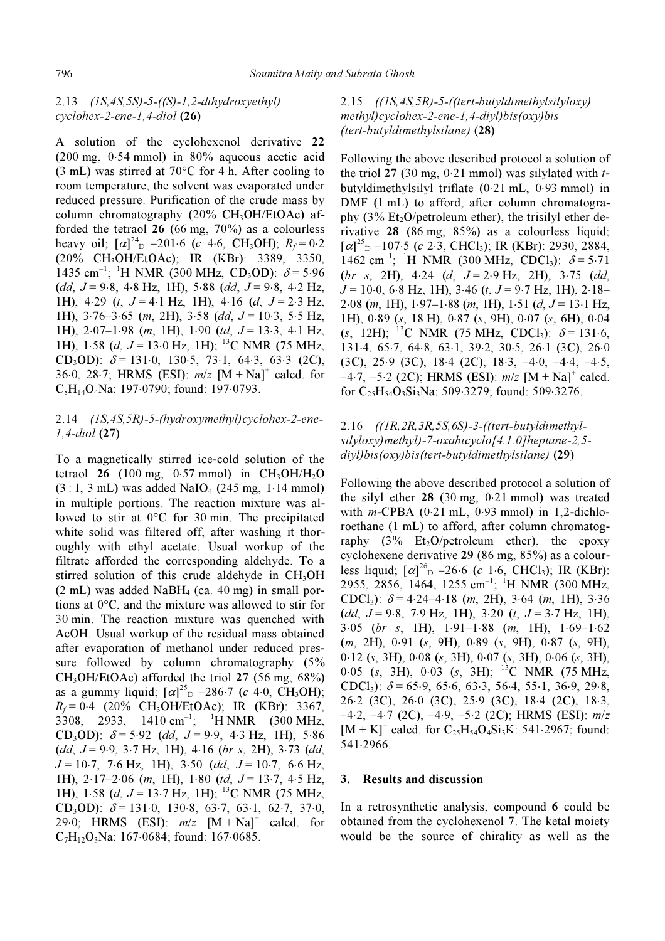## 2.13 (1S,4S,5S)-5-((S)-1,2-dihydroxyethyl) cyclohex-2-ene-1,4-diol (26)

A solution of the cyclohexenol derivative 22 (200 mg, 0⋅54 mmol) in 80% aqueous acetic acid (3 mL) was stirred at 70°C for 4 h. After cooling to room temperature, the solvent was evaporated under reduced pressure. Purification of the crude mass by column chromatography  $(20\% \text{ CH}_3OH/EtOAc)$  afforded the tetraol  $26$  (66 mg,  $70\%$ ) as a colourless heavy oil;  $[\alpha]_{D}^{24}$  –201⋅6 (c 4⋅6, CH<sub>3</sub>OH);  $R_f$  = 0⋅2 (20% CH3OH/EtOAc); IR (KBr): 3389, 3350, 1435 cm<sup>-1</sup>; <sup>1</sup>H NMR (300 MHz, CD<sub>3</sub>OD):  $\delta$  = 5.96  $(dd, J=9.8, 4.8 \text{ Hz}, 1\text{H}), 5.88 \text{ (dd, } J=9.8, 4.2 \text{ Hz},$ 1H), 4⋅29 (t, J = 4⋅1 Hz, 1H), 4⋅16 (d, J = 2⋅3 Hz, 1H),  $3.76-3.65$  (m, 2H),  $3.58$  (dd,  $J = 10.3$ ,  $5.5$  Hz, 1H), 2⋅07–1⋅98 (m, 1H), 1⋅90 (td, J = 13⋅3, 4⋅1 Hz, 1H), 1⋅58 (d, J = 13⋅0 Hz, 1H); <sup>13</sup>C NMR (75 MHz, CD<sub>3</sub>OD):  $\delta$  = 131⋅0, 130⋅5, 73⋅1, 64⋅3, 63⋅3 (2C), 36⋅0, 28⋅7; HRMS (ESI):  $m/z$  [M + Na]<sup>+</sup> calcd. for C8H14O4Na: 197⋅0790; found: 197⋅0793.

## 2.14 (1S,4S,5R)-5-(hydroxymethyl)cyclohex-2-ene-1,4-diol (27)

To a magnetically stirred ice-cold solution of the tetraol 26 (100 mg, 0⋅57 mmol) in  $CH_3OH/H_2O$  $(3:1, 3 \text{ mL})$  was added NaIO<sub>4</sub> (245 mg, 1⋅14 mmol) in multiple portions. The reaction mixture was allowed to stir at 0°C for 30 min. The precipitated white solid was filtered off, after washing it thoroughly with ethyl acetate. Usual workup of the filtrate afforded the corresponding aldehyde. To a stirred solution of this crude aldehyde in  $CH<sub>3</sub>OH$  $(2 \text{ mL})$  was added NaBH<sub>4</sub> (ca. 40 mg) in small portions at 0°C, and the mixture was allowed to stir for 30 min. The reaction mixture was quenched with AcOH. Usual workup of the residual mass obtained after evaporation of methanol under reduced pressure followed by column chromatography (5%  $CH<sub>3</sub>OH/EtOAc$ ) afforded the triol 27 (56 mg, 68%) as a gummy liquid;  $[\alpha]^{25}$ <sub>D</sub> –286⋅7 (c 4⋅0, CH<sub>3</sub>OH);  $R_f = 0.4$  (20% CH<sub>3</sub>OH/EtOAc); IR (KBr): 3367, 3308, 2933, 1410 cm<sup>-1</sup>; <sup>1</sup>H NMR (300 MHz, CD<sub>3</sub>OD):  $\delta$  = 5⋅92 (dd, J = 9⋅9, 4⋅3 Hz, 1H), 5⋅86  $(dd, J=9.9, 3.7 \text{ Hz}, 1\text{H}), 4.16 (br s, 2\text{H}), 3.73 (dd,$  $J = 10.7$ , 7⋅6 Hz, 1H), 3⋅50 (dd,  $J = 10.7$ , 6⋅6 Hz, 1H), 2⋅17–2⋅06 (m, 1H), 1⋅80 (td, J = 13⋅7, 4⋅5 Hz, 1H), 1⋅58 (d, J = 13⋅7 Hz, 1H); <sup>13</sup>C NMR (75 MHz, CD<sub>3</sub>OD):  $\delta$  = 131⋅0, 130⋅8, 63⋅7, 63⋅1, 62⋅7, 37⋅0, 29⋅0; HRMS (ESI):  $m/z$  [M + Na]<sup>+</sup> calcd. for C7H12O3Na: 167⋅0684; found: 167⋅0685.

# 2.15  $((1S, 4S, 5R) - 5 - ((tert-butyldimethylsilyloxy))$ methyl)cyclohex-2-ene-1,4-diyl)bis(oxy)bis (tert-butyldimethylsilane) (28)

Following the above described protocol a solution of the triol 27 (30 mg,  $0.21$  mmol) was silylated with tbutyldimethylsilyl triflate (0⋅21 mL, 0⋅93 mmol) in DMF (1 mL) to afford, after column chromatography (3%  $Et_2O/petroleum$  ether), the trisilyl ether derivative 28 (86 mg, 85%) as a colourless liquid;  $[\alpha]_{\text{D}}^{25}$  –107⋅5 (c 2⋅3, CHCl<sub>3</sub>); IR (KBr): 2930, 2884, 1462 cm<sup>-1</sup>; <sup>1</sup>H NMR (300 MHz, CDCl<sub>3</sub>):  $\delta$  = 5.71  $(br$  s, 2H), 4⋅24 (d, J = 2⋅9 Hz, 2H), 3⋅75 (dd,  $J = 10.0, 6.8$  Hz, 1H), 3.46 (t,  $J = 9.7$  Hz, 1H), 2.18– 2⋅08 (m, 1H), 1⋅97–1⋅88 (m, 1H), 1⋅51 (d, J = 13⋅1 Hz, 1H), 0⋅89 (s, 18 H), 0⋅87 (s, 9H), 0⋅07 (s, 6H), 0⋅04 (s, 12H); <sup>13</sup>C NMR (75 MHz, CDCl<sub>3</sub>):  $\delta$  = 131⋅6, 131⋅4, 65⋅7, 64⋅8, 63⋅1, 39⋅2, 30⋅5, 26⋅1 (3C), 26⋅0 (3C), 25⋅9 (3C), 18⋅4 (2C), 18⋅3, –4⋅0, –4⋅4, –4⋅5,  $-4.7, -5.2$  (2C); HRMS (ESI):  $m/z$  [M + Na]<sup>+</sup> calcd. for C25H54O3Si3Na: 509⋅3279; found: 509⋅3276.

# 2.16 ((1R,2R,3R,5S,6S)-3-((tert-butyldimethylsilyloxy)methyl)-7-oxabicyclo[4.1.0]heptane-2,5 diyl)bis(oxy)bis(tert-butyldimethylsilane) (29)

Following the above described protocol a solution of the silyl ether 28 (30 mg, 0⋅21 mmol) was treated with m-CPBA (0⋅21 mL, 0⋅93 mmol) in 1,2-dichloroethane (1 mL) to afford, after column chromatography  $(3\%$  Et<sub>2</sub>O/petroleum ether), the epoxy cyclohexene derivative 29 (86 mg, 85%) as a colourless liquid;  $[\alpha]^{26}$  –26⋅6 (c 1⋅6, CHCl<sub>3</sub>); IR (KBr): 2955, 2856, 1464, 1255 cm<sup>-1</sup>; <sup>1</sup>H NMR (300 MHz, CDCl<sub>3</sub>):  $\delta$  = 4⋅24–4⋅18 (*m*, 2H), 3⋅64 (*m*, 1H), 3⋅36  $(dd, J=9.8, 7.9 \text{ Hz}, 1\text{H}), 3.20 (t, J=3.7 \text{ Hz}, 1\text{H}),$ 3⋅05 (br s, 1H), 1⋅91–1⋅88 (m, 1H), 1⋅69–1⋅62 (m, 2H), 0⋅91 (s, 9H), 0⋅89 (s, 9H), 0⋅87 (s, 9H), 0⋅12 (s, 3H), 0⋅08 (s, 3H), 0⋅07 (s, 3H), 0⋅06 (s, 3H), 0⋅05 (s, 3H), 0⋅03 (s, 3H); <sup>13</sup>C NMR (75 MHz, CDCl<sub>3</sub>):  $\delta$  = 65⋅9, 65⋅6, 63⋅3, 56⋅4, 55⋅1, 36⋅9, 29⋅8, 26⋅2 (3C), 26⋅0 (3C), 25⋅9 (3C), 18⋅4 (2C), 18⋅3,  $-4.2, -4.7$  (2C),  $-4.9, -5.2$  (2C); HRMS (ESI):  $m/z$  $[M + K]^+$  calcd. for  $C_{25}H_{54}O_4Si_3K$ : 541⋅2967; found: 541⋅2966.

## 3. Results and discussion

In a retrosynthetic analysis, compound 6 could be obtained from the cyclohexenol 7. The ketal moiety would be the source of chirality as well as the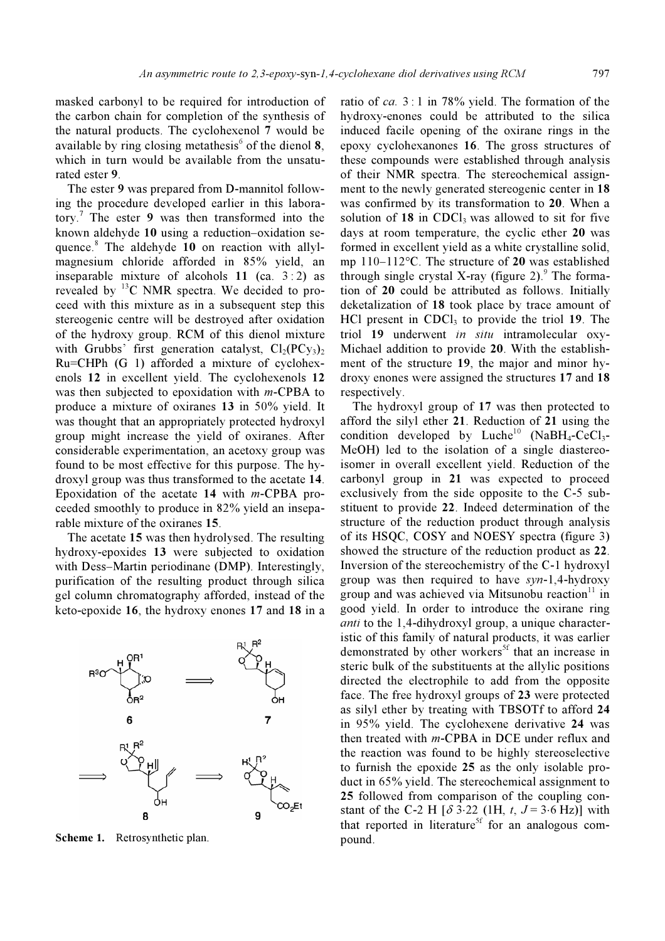masked carbonyl to be required for introduction of the carbon chain for completion of the synthesis of the natural products. The cyclohexenol 7 would be available by ring closing metathesis<sup>6</sup> of the dienol 8, which in turn would be available from the unsaturated ester 9.

 The ester 9 was prepared from D-mannitol following the procedure developed earlier in this laboratory.<sup>7</sup> The ester 9 was then transformed into the known aldehyde 10 using a reduction–oxidation sequence.<sup>8</sup> The aldehyde 10 on reaction with allylmagnesium chloride afforded in 85% yield, an inseparable mixture of alcohols  $11$  (ca.  $3:2$ ) as revealed by <sup>13</sup>C NMR spectra. We decided to proceed with this mixture as in a subsequent step this stereogenic centre will be destroyed after oxidation of the hydroxy group. RCM of this dienol mixture with Grubbs' first generation catalyst,  $Cl_2(PCV_3)_2$ Ru=CHPh (G 1) afforded a mixture of cyclohexenols 12 in excellent yield. The cyclohexenols 12 was then subjected to epoxidation with  $m$ -CPBA to produce a mixture of oxiranes 13 in 50% yield. It was thought that an appropriately protected hydroxyl group might increase the yield of oxiranes. After considerable experimentation, an acetoxy group was found to be most effective for this purpose. The hydroxyl group was thus transformed to the acetate 14. Epoxidation of the acetate 14 with m-CPBA proceeded smoothly to produce in 82% yield an inseparable mixture of the oxiranes 15.

 The acetate 15 was then hydrolysed. The resulting hydroxy-epoxides 13 were subjected to oxidation with Dess–Martin periodinane (DMP). Interestingly, purification of the resulting product through silica gel column chromatography afforded, instead of the keto-epoxide 16, the hydroxy enones 17 and 18 in a



Scheme 1. Retrosynthetic plan.

ratio of ca. 3 : 1 in 78% yield. The formation of the hydroxy-enones could be attributed to the silica induced facile opening of the oxirane rings in the epoxy cyclohexanones 16. The gross structures of these compounds were established through analysis of their NMR spectra. The stereochemical assignment to the newly generated stereogenic center in 18 was confirmed by its transformation to 20. When a solution of  $18$  in CDCl<sub>3</sub> was allowed to sit for five days at room temperature, the cyclic ether 20 was formed in excellent yield as a white crystalline solid, mp 110–112°C. The structure of 20 was established through single crystal X-ray (figure 2). $\degree$  The formation of 20 could be attributed as follows. Initially deketalization of 18 took place by trace amount of  $HCl$  present in  $CDCl<sub>3</sub>$  to provide the triol 19. The triol 19 underwent in situ intramolecular oxy-Michael addition to provide 20. With the establishment of the structure 19, the major and minor hydroxy enones were assigned the structures 17 and 18 respectively.

 The hydroxyl group of 17 was then protected to afford the silyl ether 21. Reduction of 21 using the condition developed by Luche<sup>10</sup>  $(NaBH<sub>4</sub>-CeCl<sub>3</sub>-$ MeOH) led to the isolation of a single diastereoisomer in overall excellent yield. Reduction of the carbonyl group in 21 was expected to proceed exclusively from the side opposite to the C-5 substituent to provide 22. Indeed determination of the structure of the reduction product through analysis of its HSQC, COSY and NOESY spectra (figure 3) showed the structure of the reduction product as 22. Inversion of the stereochemistry of the C-1 hydroxyl group was then required to have syn-1,4-hydroxy group and was achieved via Mitsunobu reaction $11$  in good yield. In order to introduce the oxirane ring anti to the 1,4-dihydroxyl group, a unique characteristic of this family of natural products, it was earlier demonstrated by other workers<sup>5f</sup> that an increase in steric bulk of the substituents at the allylic positions directed the electrophile to add from the opposite face. The free hydroxyl groups of 23 were protected as silyl ether by treating with TBSOTf to afford 24 in 95% yield. The cyclohexene derivative 24 was then treated with m-CPBA in DCE under reflux and the reaction was found to be highly stereoselective to furnish the epoxide 25 as the only isolable product in 65% yield. The stereochemical assignment to 25 followed from comparison of the coupling constant of the C-2 H [ $\delta$  3⋅22 (1H, t, J = 3⋅6 Hz)] with that reported in literature<sup>5f</sup> for an analogous compound.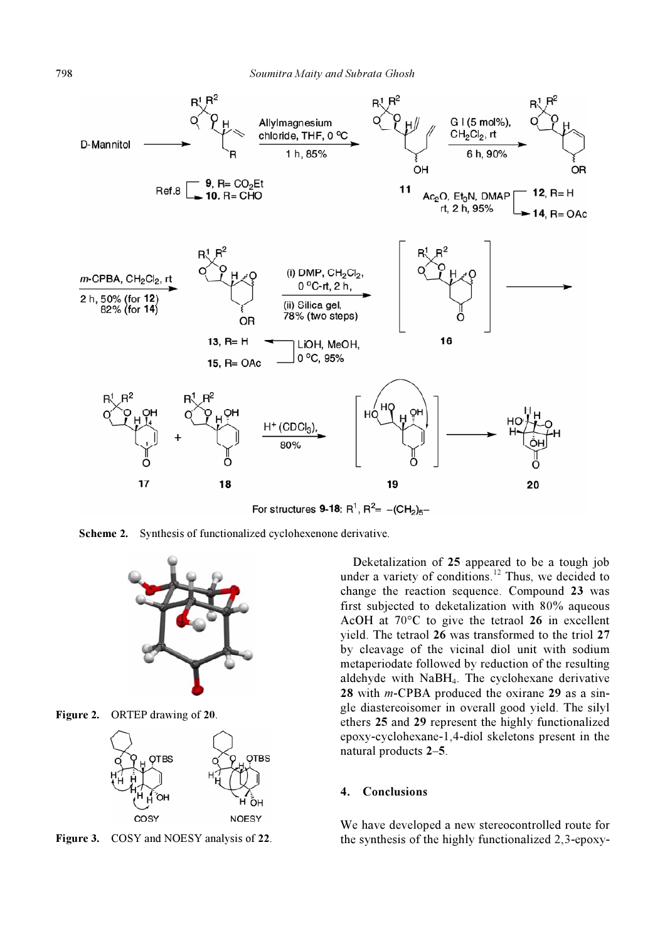

For structures 9-18:  $R^1$ ,  $R^2 = -(CH_2)_{5}$ 

Scheme 2. Synthesis of functionalized cyclohexenone derivative.



Figure 2. ORTEP drawing of 20.



Figure 3. COSY and NOESY analysis of 22.

 Deketalization of 25 appeared to be a tough job under a variety of conditions.<sup>12</sup> Thus, we decided to change the reaction sequence. Compound 23 was first subjected to deketalization with 80% aqueous AcOH at 70°C to give the tetraol 26 in excellent yield. The tetraol 26 was transformed to the triol 27 by cleavage of the vicinal diol unit with sodium metaperiodate followed by reduction of the resulting aldehyde with NaBH4. The cyclohexane derivative 28 with  $m$ -CPBA produced the oxirane 29 as a single diastereoisomer in overall good yield. The silyl ethers 25 and 29 represent the highly functionalized epoxy-cyclohexane-1,4-diol skeletons present in the natural products 2–5.

### 4. Conclusions

We have developed a new stereocontrolled route for the synthesis of the highly functionalized 2,3-epoxy-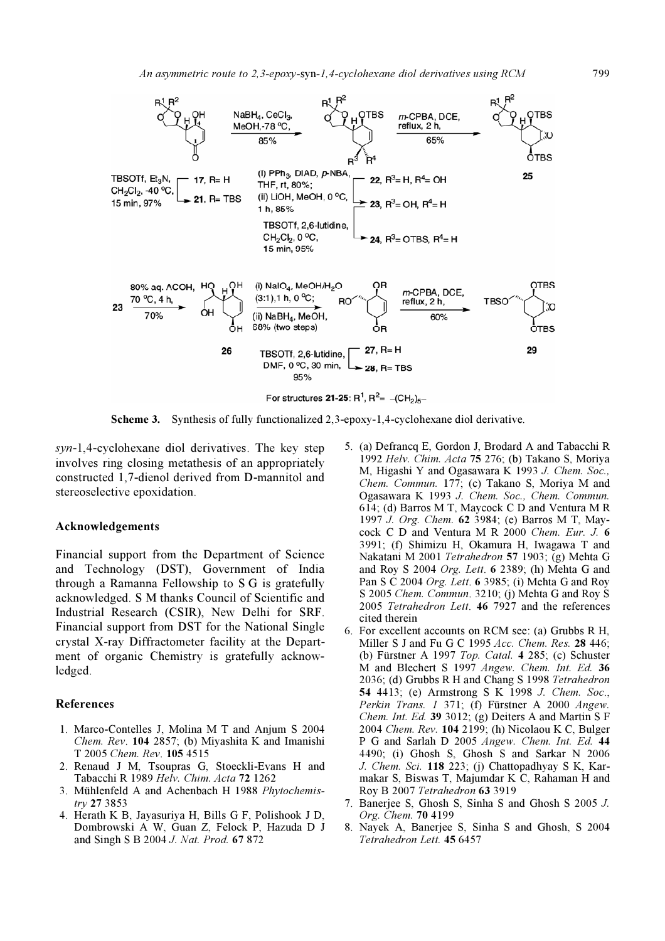

Scheme 3. Synthesis of fully functionalized 2,3-epoxy-1,4-cyclohexane diol derivative.

syn-1,4-cyclohexane diol derivatives. The key step involves ring closing metathesis of an appropriately constructed 1,7-dienol derived from D-mannitol and stereoselective epoxidation.

#### Acknowledgements

Financial support from the Department of Science and Technology (DST), Government of India through a Ramanna Fellowship to S G is gratefully acknowledged. S M thanks Council of Scientific and Industrial Research (CSIR), New Delhi for SRF. Financial support from DST for the National Single crystal X-ray Diffractometer facility at the Department of organic Chemistry is gratefully acknowledged.

#### References

- 1. Marco-Contelles J, Molina M T and Anjum S 2004 Chem. Rev. 104 2857; (b) Miyashita K and Imanishi T 2005 Chem. Rev. 105 4515
- 2. Renaud J M, Tsoupras G, Stoeckli-Evans H and Tabacchi R 1989 Helv. Chim. Acta  $72$  1262
- 3. Mühlenfeld A and Achenbach H 1988 Phytochemistry 27 3853
- 4. Herath K B, Jayasuriya H, Bills G F, Polishook J D, Dombrowski A W, Guan Z, Felock P, Hazuda D J and Singh S B 2004 J. Nat. Prod. 67 872
- 5. (a) Defrancq E, Gordon J, Brodard A and Tabacchi R 1992 Helv. Chim. Acta 75 276; (b) Takano S, Moriya M, Higashi Y and Ogasawara K 1993 J. Chem. Soc., Chem. Commun. 177; (c) Takano S, Moriya M and Ogasawara K 1993 J. Chem. Soc., Chem. Commun. 614; (d) Barros M T, Maycock C D and Ventura M R 1997 J. Org. Chem. 62 3984; (e) Barros M T, Maycock C D and Ventura M R 2000 Chem. Eur. J. 6 3991; (f) Shimizu H, Okamura H, Iwagawa T and Nakatani M 2001 Tetrahedron 57 1903; (g) Mehta G and Roy S 2004 Org. Lett. 6 2389; (h) Mehta G and Pan S C 2004 Org. Lett. 6 3985; (i) Mehta G and Roy S 2005 Chem. Commun. 3210; (j) Mehta G and Roy S 2005 Tetrahedron Lett. 46 7927 and the references cited therein
- 6. For excellent accounts on RCM see: (a) Grubbs R H, Miller S J and Fu G C 1995 Acc. Chem. Res. 28 446; (b) Fürstner A 1997 Top. Catal. 4 285; (c) Schuster M and Blechert S 1997 Angew. Chem. Int. Ed. 36 2036; (d) Grubbs R H and Chang S 1998 Tetrahedron 54 4413; (e) Armstrong S K 1998 J. Chem. Soc., Perkin Trans. 1 371; (f) Fürstner A 2000 Angew. Chem. Int. Ed. 39 3012; (g) Deiters A and Martin S F 2004 Chem. Rev. 104 2199; (h) Nicolaou K C, Bulger P G and Sarlah D 2005 Angew. Chem. Int. Ed. 44 4490; (i) Ghosh S, Ghosh S and Sarkar N 2006 J. Chem. Sci. 118 223; (j) Chattopadhyay S K, Karmakar S, Biswas T, Majumdar K C, Rahaman H and Roy B 2007 Tetrahedron 63 3919
- 7. Banerjee S, Ghosh S, Sinha S and Ghosh S 2005 J. Org. Chem. 70 4199
- 8. Nayek A, Banerjee S, Sinha S and Ghosh, S 2004 Tetrahedron Lett. 45 6457